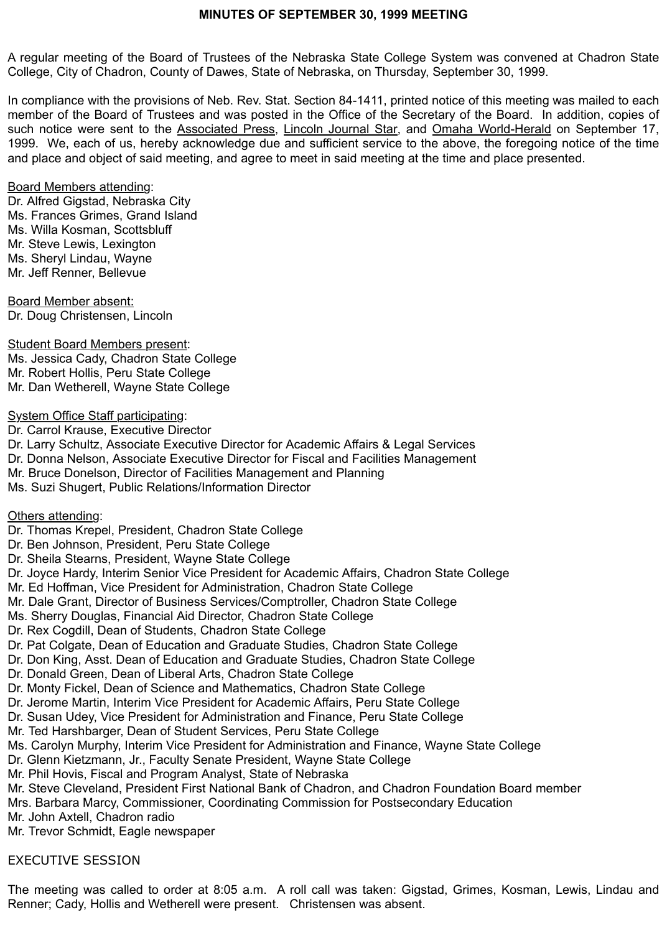#### **MINUTES OF SEPTEMBER 30, 1999 MEETING**

A regular meeting of the Board of Trustees of the Nebraska State College System was convened at Chadron State College, City of Chadron, County of Dawes, State of Nebraska, on Thursday, September 30, 1999.

In compliance with the provisions of Neb. Rev. Stat. Section 84-1411, printed notice of this meeting was mailed to each member of the Board of Trustees and was posted in the Office of the Secretary of the Board. In addition, copies of such notice were sent to the Associated Press, Lincoln Journal Star, and Omaha World-Herald on September 17, 1999. We, each of us, hereby acknowledge due and sufficient service to the above, the foregoing notice of the time and place and object of said meeting, and agree to meet in said meeting at the time and place presented.

#### Board Members attending:

Dr. Alfred Gigstad, Nebraska City Ms. Frances Grimes, Grand Island Ms. Willa Kosman, Scottsbluff Mr. Steve Lewis, Lexington Ms. Sheryl Lindau, Wayne Mr. Jeff Renner, Bellevue

Board Member absent: Dr. Doug Christensen, Lincoln

**Student Board Members present:** Ms. Jessica Cady, Chadron State College Mr. Robert Hollis, Peru State College Mr. Dan Wetherell, Wayne State College

System Office Staff participating:

Dr. Carrol Krause, Executive Director

Dr. Larry Schultz, Associate Executive Director for Academic Affairs & Legal Services Dr. Donna Nelson, Associate Executive Director for Fiscal and Facilities Management Mr. Bruce Donelson, Director of Facilities Management and Planning Ms. Suzi Shugert, Public Relations/Information Director

Others attending:

Dr. Thomas Krepel, President, Chadron State College

Dr. Ben Johnson, President, Peru State College

Dr. Sheila Stearns, President, Wayne State College

Dr. Joyce Hardy, Interim Senior Vice President for Academic Affairs, Chadron State College

Mr. Ed Hoffman, Vice President for Administration, Chadron State College

Mr. Dale Grant, Director of Business Services/Comptroller, Chadron State College

Ms. Sherry Douglas, Financial Aid Director, Chadron State College

Dr. Rex Cogdill, Dean of Students, Chadron State College

Dr. Pat Colgate, Dean of Education and Graduate Studies, Chadron State College

Dr. Don King, Asst. Dean of Education and Graduate Studies, Chadron State College

Dr. Donald Green, Dean of Liberal Arts, Chadron State College

Dr. Monty Fickel, Dean of Science and Mathematics, Chadron State College

Dr. Jerome Martin, Interim Vice President for Academic Affairs, Peru State College

Dr. Susan Udey, Vice President for Administration and Finance, Peru State College

Mr. Ted Harshbarger, Dean of Student Services, Peru State College

Ms. Carolyn Murphy, Interim Vice President for Administration and Finance, Wayne State College

Dr. Glenn Kietzmann, Jr., Faculty Senate President, Wayne State College

Mr. Phil Hovis, Fiscal and Program Analyst, State of Nebraska

Mr. Steve Cleveland, President First National Bank of Chadron, and Chadron Foundation Board member

Mrs. Barbara Marcy, Commissioner, Coordinating Commission for Postsecondary Education

Mr. John Axtell, Chadron radio

Mr. Trevor Schmidt, Eagle newspaper

## EXECUTIVE SESSION

The meeting was called to order at 8:05 a.m. A roll call was taken: Gigstad, Grimes, Kosman, Lewis, Lindau and Renner; Cady, Hollis and Wetherell were present. Christensen was absent.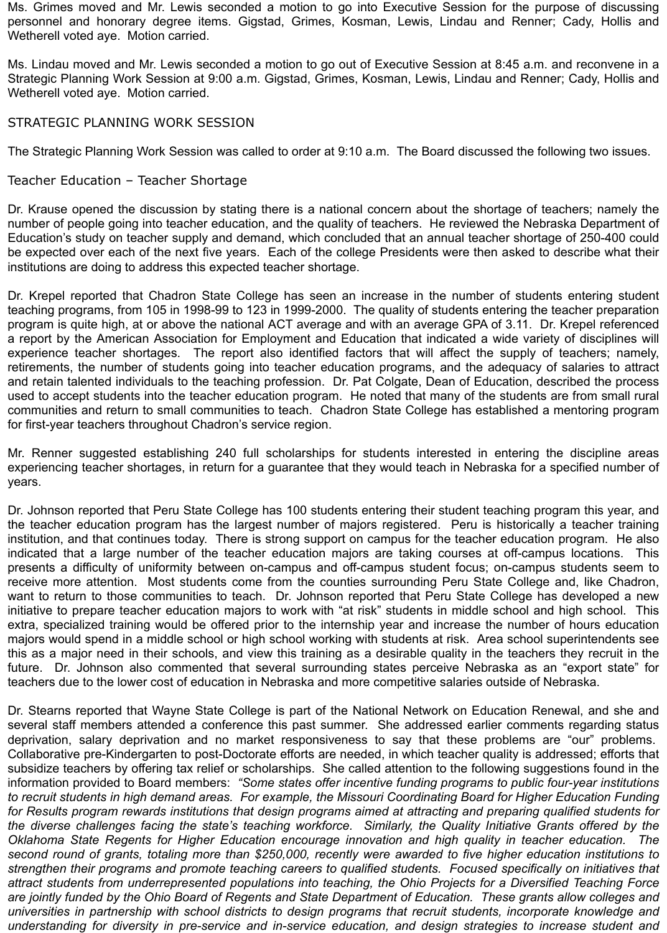Ms. Grimes moved and Mr. Lewis seconded a motion to go into Executive Session for the purpose of discussing personnel and honorary degree items. Gigstad, Grimes, Kosman, Lewis, Lindau and Renner; Cady, Hollis and Wetherell voted aye. Motion carried.

Ms. Lindau moved and Mr. Lewis seconded a motion to go out of Executive Session at 8:45 a.m. and reconvene in a Strategic Planning Work Session at 9:00 a.m. Gigstad, Grimes, Kosman, Lewis, Lindau and Renner; Cady, Hollis and Wetherell voted aye. Motion carried.

## STRATEGIC PLANNING WORK SESSION

The Strategic Planning Work Session was called to order at 9:10 a.m. The Board discussed the following two issues.

## Teacher Education – Teacher Shortage

Dr. Krause opened the discussion by stating there is a national concern about the shortage of teachers; namely the number of people going into teacher education, and the quality of teachers. He reviewed the Nebraska Department of Education's study on teacher supply and demand, which concluded that an annual teacher shortage of 250-400 could be expected over each of the next five years. Each of the college Presidents were then asked to describe what their institutions are doing to address this expected teacher shortage.

Dr. Krepel reported that Chadron State College has seen an increase in the number of students entering student teaching programs, from 105 in 1998-99 to 123 in 1999-2000. The quality of students entering the teacher preparation program is quite high, at or above the national ACT average and with an average GPA of 3.11. Dr. Krepel referenced a report by the American Association for Employment and Education that indicated a wide variety of disciplines will experience teacher shortages. The report also identified factors that will affect the supply of teachers; namely, retirements, the number of students going into teacher education programs, and the adequacy of salaries to attract and retain talented individuals to the teaching profession. Dr. Pat Colgate, Dean of Education, described the process used to accept students into the teacher education program. He noted that many of the students are from small rural communities and return to small communities to teach. Chadron State College has established a mentoring program for first-year teachers throughout Chadron's service region.

Mr. Renner suggested establishing 240 full scholarships for students interested in entering the discipline areas experiencing teacher shortages, in return for a guarantee that they would teach in Nebraska for a specified number of years.

Dr. Johnson reported that Peru State College has 100 students entering their student teaching program this year, and the teacher education program has the largest number of majors registered. Peru is historically a teacher training institution, and that continues today. There is strong support on campus for the teacher education program. He also indicated that a large number of the teacher education majors are taking courses at off-campus locations. This presents a difficulty of uniformity between on-campus and off-campus student focus; on-campus students seem to receive more attention. Most students come from the counties surrounding Peru State College and, like Chadron, want to return to those communities to teach. Dr. Johnson reported that Peru State College has developed a new initiative to prepare teacher education majors to work with "at risk" students in middle school and high school. This extra, specialized training would be offered prior to the internship year and increase the number of hours education majors would spend in a middle school or high school working with students at risk. Area school superintendents see this as a major need in their schools, and view this training as a desirable quality in the teachers they recruit in the future. Dr. Johnson also commented that several surrounding states perceive Nebraska as an "export state" for teachers due to the lower cost of education in Nebraska and more competitive salaries outside of Nebraska.

Dr. Stearns reported that Wayne State College is part of the National Network on Education Renewal, and she and several staff members attended a conference this past summer. She addressed earlier comments regarding status deprivation, salary deprivation and no market responsiveness to say that these problems are "our" problems. Collaborative pre-Kindergarten to post-Doctorate efforts are needed, in which teacher quality is addressed; efforts that subsidize teachers by offering tax relief or scholarships. She called attention to the following suggestions found in the information provided to Board members: *"Some states offer incentive funding programs to public four-year institutions to recruit students in high demand areas. For example, the Missouri Coordinating Board for Higher Education Funding for Results program rewards institutions that design programs aimed at attracting and preparing qualified students for the diverse challenges facing the state's teaching workforce. Similarly, the Quality Initiative Grants offered by the Oklahoma State Regents for Higher Education encourage innovation and high quality in teacher education. The second round of grants, totaling more than \$250,000, recently were awarded to five higher education institutions to strengthen their programs and promote teaching careers to qualified students. Focused specifically on initiatives that attract students from underrepresented populations into teaching, the Ohio Projects for a Diversified Teaching Force are jointly funded by the Ohio Board of Regents and State Department of Education. These grants allow colleges and universities in partnership with school districts to design programs that recruit students, incorporate knowledge and understanding for diversity in pre-service and in-service education, and design strategies to increase student and*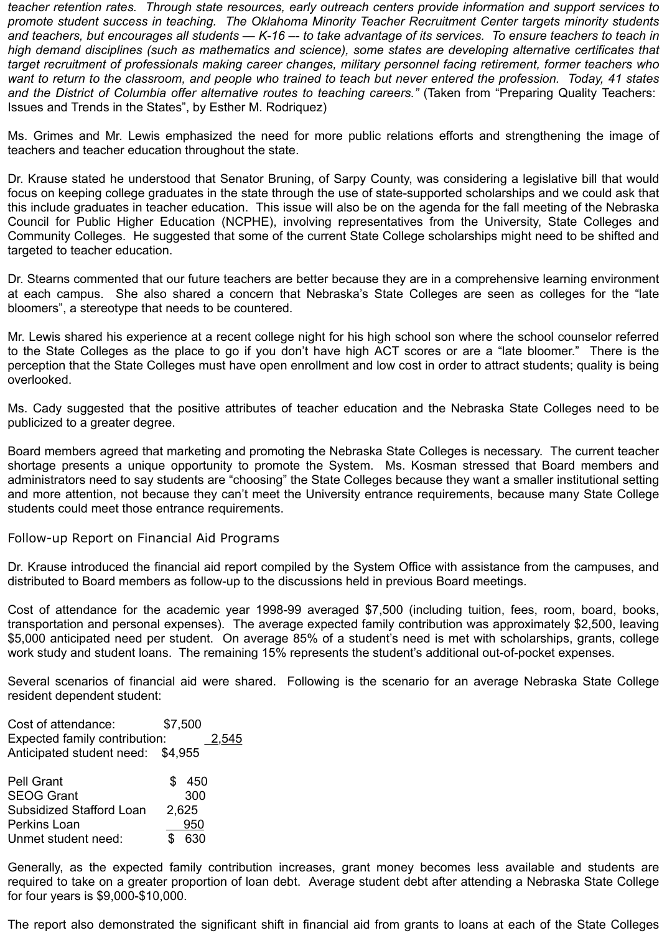*teacher retention rates. Through state resources, early outreach centers provide information and support services to promote student success in teaching. The Oklahoma Minority Teacher Recruitment Center targets minority students and teachers, but encourages all students — K-16 –- to take advantage of its services. To ensure teachers to teach in high demand disciplines (such as mathematics and science), some states are developing alternative certificates that target recruitment of professionals making career changes, military personnel facing retirement, former teachers who want to return to the classroom, and people who trained to teach but never entered the profession. Today, 41 states and the District of Columbia offer alternative routes to teaching careers."* (Taken from "Preparing Quality Teachers: Issues and Trends in the States", by Esther M. Rodriquez)

Ms. Grimes and Mr. Lewis emphasized the need for more public relations efforts and strengthening the image of teachers and teacher education throughout the state.

Dr. Krause stated he understood that Senator Bruning, of Sarpy County, was considering a legislative bill that would focus on keeping college graduates in the state through the use of state-supported scholarships and we could ask that this include graduates in teacher education. This issue will also be on the agenda for the fall meeting of the Nebraska Council for Public Higher Education (NCPHE), involving representatives from the University, State Colleges and Community Colleges. He suggested that some of the current State College scholarships might need to be shifted and targeted to teacher education.

Dr. Stearns commented that our future teachers are better because they are in a comprehensive learning environment at each campus. She also shared a concern that Nebraska's State Colleges are seen as colleges for the "late bloomers", a stereotype that needs to be countered.

Mr. Lewis shared his experience at a recent college night for his high school son where the school counselor referred to the State Colleges as the place to go if you don't have high ACT scores or are a "late bloomer." There is the perception that the State Colleges must have open enrollment and low cost in order to attract students; quality is being overlooked.

Ms. Cady suggested that the positive attributes of teacher education and the Nebraska State Colleges need to be publicized to a greater degree.

Board members agreed that marketing and promoting the Nebraska State Colleges is necessary. The current teacher shortage presents a unique opportunity to promote the System. Ms. Kosman stressed that Board members and administrators need to say students are "choosing" the State Colleges because they want a smaller institutional setting and more attention, not because they can't meet the University entrance requirements, because many State College students could meet those entrance requirements.

Follow-up Report on Financial Aid Programs

Dr. Krause introduced the financial aid report compiled by the System Office with assistance from the campuses, and distributed to Board members as follow-up to the discussions held in previous Board meetings.

Cost of attendance for the academic year 1998-99 averaged \$7,500 (including tuition, fees, room, board, books, transportation and personal expenses). The average expected family contribution was approximately \$2,500, leaving \$5,000 anticipated need per student. On average 85% of a student's need is met with scholarships, grants, college work study and student loans. The remaining 15% represents the student's additional out-of-pocket expenses.

Several scenarios of financial aid were shared. Following is the scenario for an average Nebraska State College resident dependent student:

Cost of attendance: \$7,500 Expected family contribution: 2,545 Anticipated student need: \$4,955

| <b>Pell Grant</b>               | $\mathbb{S}$<br>450 |
|---------------------------------|---------------------|
| <b>SEOG Grant</b>               | 300                 |
| <b>Subsidized Stafford Loan</b> | 2,625               |
| <b>Perkins Loan</b>             | 950                 |
| Unmet student need:             | 630<br>S.           |

Generally, as the expected family contribution increases, grant money becomes less available and students are required to take on a greater proportion of loan debt. Average student debt after attending a Nebraska State College for four years is \$9,000-\$10,000.

The report also demonstrated the significant shift in financial aid from grants to loans at each of the State Colleges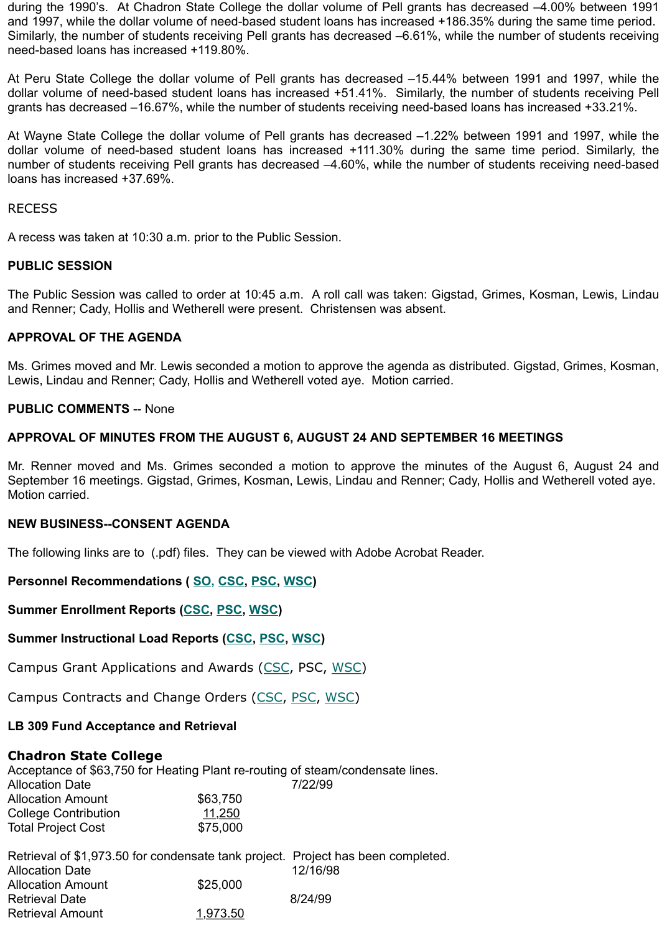loans has increased +37.69%.

# RECESS

A recess was taken at 10:30 a.m. prior to the Public Session.

# **PUBLIC SESSION**

The Public Session was called to order at 10:45 a.m. A roll call was taken: Gigstad, Grimes, Kosman, and Renner; Cady, Hollis and Wetherell were present. Christensen was absent.

# **APPROVAL OF THE AGENDA**

Ms. Grimes moved and Mr. Lewis seconded a motion to approve the agenda as distributed. Gigstad, Grir Lewis, Lindau and Renner; Cady, Hollis and Wetherell voted aye. Motion carried.

# **PUBLIC COMMENTS** -- None

# **APPROVAL OF MINUTES FROM THE AUGUST 6, AUGUST 24 AND SEPTEMBER 16 MEETINGS**

Mr. Renner moved and Ms. Grimes seconded a motion to approve the minutes of the August 6, August September 16 meetings. Gigstad, Grimes, Kosman, Lewis, Lindau and Renner; Cady, Hollis and Wethere Motion carried.

# **NEW BUSINESS--CONSENT AGENDA**

The following links are to (.pdf) files. They can be viewed with Adobe Acrobat Reader.

# **Personnel Recommendations ( SO, CSC, PSC, WSC)**

**Summer Enrollment Reports (CSC, PSC, WSC)**

# **Summer Instructional Load Reports (CSC, PSC, WSC)**

Campus Grant Applications and Awards (CSC, PSC, WSC)

Campus Contracts and Change Orders (CSC, PSC, WSC)

# **LB 309 Fund Acceptance and Retrieval**

# **Chadron State College**

Acceptance of \$63,750 for Heatin[g Pl](http://www.nscs.edu/minutes/September%2030%20Meeting/Consent%20Items/5A01-Personnel%20SO.pdf)[ant re](http://www.nscs.edu/minutes/September%2030%20Meeting/Consent%20Items/5A01-Personnel%20CSC.pdf)-[routin](http://www.nscs.edu/minutes/September%2030%20Meeting/Consent%20Items/5A01-Personnel%20PSC.pdf)[g of st](http://www.nscs.edu/minutes/September%2030%20Meeting/Consent%20Items/5A01-Personnel%20WSC.pdf)eam/condensate lines. Allocation Date 7/22/99 Allocation Amount \$63,750 College Contribution 11,2[50](http://www.nscs.edu/minutes/September%2030%20Meeting/Consent%20Items/5A03-Instructional%20Load%20Report-1CSC.pdf) Total Project Cost \$75,000

| Retrieval of \$1,973.50 for condensate tank project. Project has been completed. |          |          |
|----------------------------------------------------------------------------------|----------|----------|
| <b>Allocation Date</b>                                                           |          | 12/16/98 |
| <b>Allocation Amount</b>                                                         | \$25,000 |          |
| <b>Retrieval Date</b>                                                            |          | 8/24/99  |
| <b>Retrieval Amount</b>                                                          | 1,973.50 |          |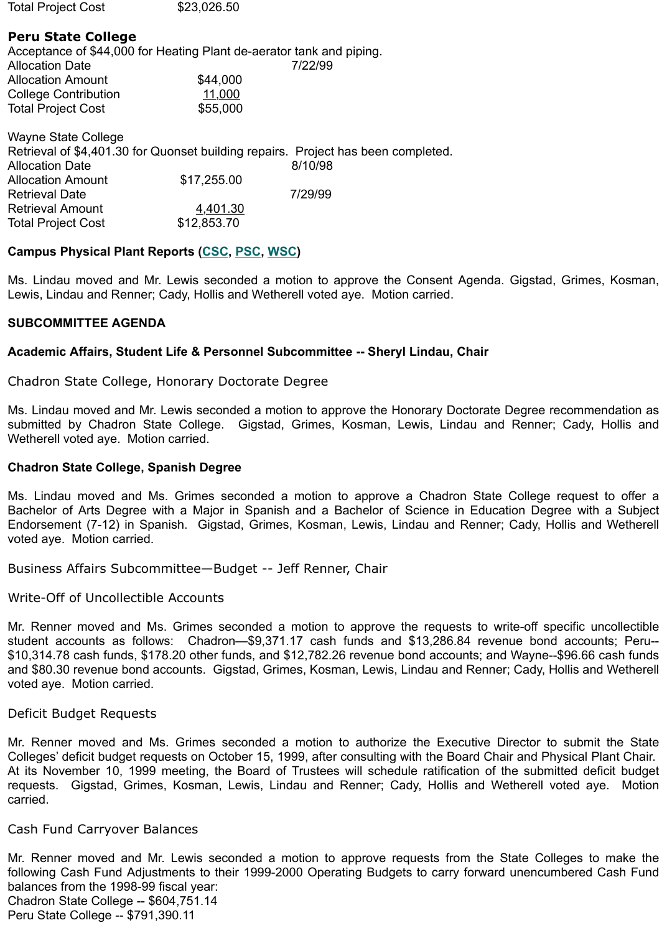| <b>Allocation Amount</b>  | \$17,255.00 |         |
|---------------------------|-------------|---------|
| <b>Retrieval Date</b>     |             | 7/29/99 |
| <b>Retrieval Amount</b>   | 4,401.30    |         |
| <b>Total Project Cost</b> | \$12,853.70 |         |

# **Campus Physical Plant Reports (CSC, PSC, WSC)**

Ms. Lindau moved and Mr. Lewis seconded a motion to approve the Consent Agenda. Gigstad, Grin Lewis, Lindau and Renner; Cady, Hollis and Wetherell voted aye. Motion carried.

## **SUBCOMMITTEE AGENDA**

## **Academic Affairs, Student Life & Personnel Subcommittee -- Sheryl Lindau, Chair**

Chadron State College, Honorary Doctorate Degree

Ms. Lindau moved and Mr. Lewis seconded a motion to approve the Honorary Doctorate Degree recom submitted by Chadron State Coll[ege.](http://www.nscs.edu/minutes/September%2030%20Meeting/Consent%20Items/5A07-Physical%20Plant%20Status%20Report-CSC.pdf) [Gigs](http://www.nscs.edu/minutes/September%2030%20Meeting/Consent%20Items/5A07-Physical%20Plant%20Status%20Report-PSC.pdf)t[ad, G](http://www.nscs.edu/minutes/September%2030%20Meeting/Consent%20Items/5A07-Physical%20Plant%20Status%20Report-WSC.pdf)rimes, Kosman, Lewis, Lindau and Renner; Cad Wetherell voted aye. Motion carried.

## **Chadron State College, Spanish Degree**

Ms. Lindau moved and Ms. Grimes seconded a motion to approve a Chadron State College reque Bachelor of Arts Degree with a Major in Spanish and a Bachelor of Science in Education Degree w Endorsement (7-12) in Spanish. Gigstad, Grimes, Kosman, Lewis, Lindau and Renner; Cady, Hollis and Rennerell voted aye. Motion carried.

Business Affairs Subcommittee—Budget -- Jeff Renner, Chair

Write-Off of Uncollectible Accounts

Mr. Renner moved and Ms. Grimes seconded a motion to approve the requests to write-off specific student accounts as follows: Chadron-\$9,371.17 cash funds and \$13,286.84 revenue bond acc \$10,314.78 cash funds, \$178.20 other funds, and \$12,782.26 revenue bond accounts; and Wayne--\$96.6 and \$80.30 revenue bond accounts. Gigstad, Grimes, Kosman, Lewis, Lindau and Renner; Cady, Hollis and Wetherell voted aye. Motion carried.

## Deficit Budget Requests

Mr. Renner moved and Ms. Grimes seconded a motion to authorize the Executive Director to sub Colleges' deficit budget requests on October 15, 1999, after consulting with the Board Chair and Physica At its November 10, 1999 meeting, the Board of Trustees will schedule ratification of the submitted requests. Gigstad, Grimes, Kosman, Lewis, Lindau and Renner; Cady, Hollis and Wetherell voted carried.

## Cash Fund Carryover Balances

Mr. Renner moved and Mr. Lewis seconded a motion to approve requests from the State Colleges following Cash Fund Adjustments to their 1999-2000 Operating Budgets to carry forward unencumbere balances from the 1998-99 fiscal year: Chadron State College -- \$604,751.14 Peru State College -- \$791,390.11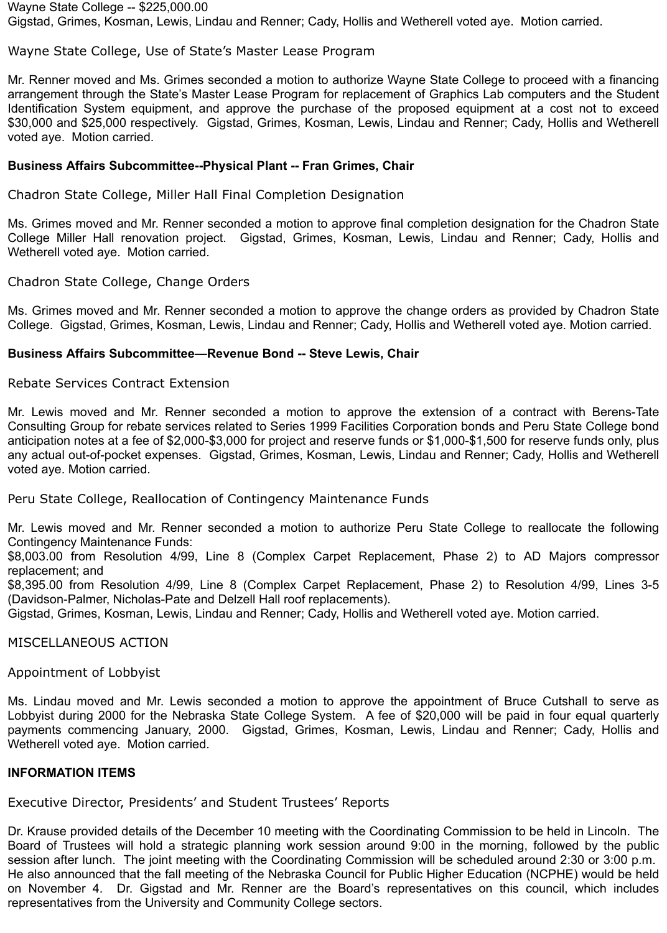Wayne State College -- \$225,000.00 Gigstad, Grimes, Kosman, Lewis, Lindau and Renner; Cady, Hollis and Wetherell voted aye. Motion carried.

Wayne State College, Use of State's Master Lease Program

Mr. Renner moved and Ms. Grimes seconded a motion to authorize Wayne State College to proceed with a financing arrangement through the State's Master Lease Program for replacement of Graphics Lab computers and the Student Identification System equipment, and approve the purchase of the proposed equipment at a cost not to exceed \$30,000 and \$25,000 respectively. Gigstad, Grimes, Kosman, Lewis, Lindau and Renner; Cady, Hollis and Wetherell voted aye. Motion carried.

# **Business Affairs Subcommittee--Physical Plant -- Fran Grimes, Chair**

Chadron State College, Miller Hall Final Completion Designation

Ms. Grimes moved and Mr. Renner seconded a motion to approve final completion designation for the Chadron State College Miller Hall renovation project. Gigstad, Grimes, Kosman, Lewis, Lindau and Renner; Cady, Hollis and Wetherell voted aye. Motion carried.

Chadron State College, Change Orders

Ms. Grimes moved and Mr. Renner seconded a motion to approve the change orders as provided by Chadron State College. Gigstad, Grimes, Kosman, Lewis, Lindau and Renner; Cady, Hollis and Wetherell voted aye. Motion carried.

## **Business Affairs Subcommittee—Revenue Bond -- Steve Lewis, Chair**

Rebate Services Contract Extension

Mr. Lewis moved and Mr. Renner seconded a motion to approve the extension of a contract with Berens-Tate Consulting Group for rebate services related to Series 1999 Facilities Corporation bonds and Peru State College bond anticipation notes at a fee of \$2,000-\$3,000 for project and reserve funds or \$1,000-\$1,500 for reserve funds only, plus any actual out-of-pocket expenses. Gigstad, Grimes, Kosman, Lewis, Lindau and Renner; Cady, Hollis and Wetherell voted aye. Motion carried.

Peru State College, Reallocation of Contingency Maintenance Funds

Mr. Lewis moved and Mr. Renner seconded a motion to authorize Peru State College to reallocate the following Contingency Maintenance Funds:

\$8,003.00 from Resolution 4/99, Line 8 (Complex Carpet Replacement, Phase 2) to AD Majors compressor replacement; and

\$8,395.00 from Resolution 4/99, Line 8 (Complex Carpet Replacement, Phase 2) to Resolution 4/99, Lines 3-5 (Davidson-Palmer, Nicholas-Pate and Delzell Hall roof replacements).

Gigstad, Grimes, Kosman, Lewis, Lindau and Renner; Cady, Hollis and Wetherell voted aye. Motion carried.

MISCELLANEOUS ACTION

Appointment of Lobbyist

Ms. Lindau moved and Mr. Lewis seconded a motion to approve the appointment of Bruce Cutshall to serve as Lobbyist during 2000 for the Nebraska State College System. A fee of \$20,000 will be paid in four equal quarterly payments commencing January, 2000. Gigstad, Grimes, Kosman, Lewis, Lindau and Renner; Cady, Hollis and Wetherell voted aye. Motion carried.

## **INFORMATION ITEMS**

Executive Director, Presidents' and Student Trustees' Reports

Dr. Krause provided details of the December 10 meeting with the Coordinating Commission to be held in Lincoln. The Board of Trustees will hold a strategic planning work session around 9:00 in the morning, followed by the public session after lunch. The joint meeting with the Coordinating Commission will be scheduled around 2:30 or 3:00 p.m. He also announced that the fall meeting of the Nebraska Council for Public Higher Education (NCPHE) would be held on November 4. Dr. Gigstad and Mr. Renner are the Board's representatives on this council, which includes representatives from the University and Community College sectors.